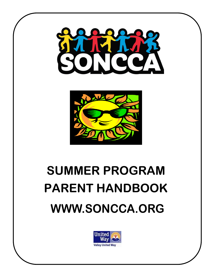



# **SUMMER PROGRAM PARENT HANDBOOK [WWW.SONCCA.ORG](http://www.soncca.org/)**

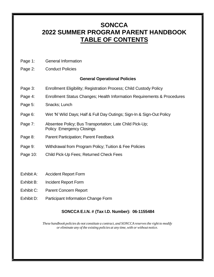# **SONCCA 2022 SUMMER PROGRAM PARENT HANDBOOK TABLE OF CONTENTS**

- Page 1: General Information
- Page 2: Conduct Policies

#### **General Operational Policies**

- Page 3: Enrollment Eligibility; Registration Process; Child Custody Policy
- Page 4: Enrollment Status Changes; Health Information Requirements & Procedures
- Page 5: Snacks; Lunch
- Page 6: Wet 'N' Wild Days; Half & Full Day Outings; Sign-In & Sign-Out Policy
- Page 7: Absentee Policy; Bus Transportation; Late Child Pick-Up; Policy Emergency Closings
- Page 8: Parent Participation; Parent Feedback
- Page 9: Withdrawal from Program Policy; Tuition & Fee Policies
- Page 10: Child Pick-Up Fees; Returned Check Fees
- Exhibit A: Accident Report Form
- Exhibit B: Incident Report Form
- Exhibit C: Parent Concern Report
- Exhibit D: Participant Information Change Form

# **SONCCA E.I.N. # (Tax I.D. Number): 06-1155484**

*These handbook policies do not constitute a contract, and SONCCA reserves the right to modify or eliminate any of the existing policies at any time, with or without notice.*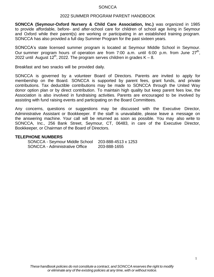#### 2022 SUMMER PROGRAM PARENT HANDBOOK

**SONCCA (Seymour-Oxford Nursery & Child Care Association, Inc.)** was organized in 1985 to provide affordable, before- and after-school care for children of school age living in Seymour and Oxford while their parent(s) are working or participating in an established training program. SONCCA has also provided a full day Summer Program for the past sixteen years.

SONCCA's state licensed summer program is located at Seymour Middle School in Seymour. Our summer program hours of operation are from 7:00 a.m. until 6:00 p.m. from June 27<sup>th</sup>, 2022 until August 12<sup>th</sup>, 2022. The program serves children in grades K - 8.

Breakfast and two snacks will be provided daily.

SONCCA is governed by a volunteer Board of Directors. Parents are invited to apply for membership on the Board. SONCCA is supported by parent fees, grant funds, and private contributions. Tax deductible contributions may be made to SONCCA through the United Way donor option plan or by direct contribution. To maintain high quality but keep parent fees low, the Association is also involved in fundraising activities. Parents are encouraged to be involved by assisting with fund raising events and participating on the Board Committees.

Any concerns, questions or suggestions may be discussed with the Executive Director, Administrative Assistant or Bookkeeper. If the staff is unavailable, please leave a message on the answering machine. Your call will be returned as soon as possible. You may also write to SONCCA, Inc., 256 Bank Street, Seymour, CT, 06483, in care of the Executive Director, Bookkeeper, or Chairman of the Board of Directors.

#### **TELEPHONE NUMBERS**

| SONCCA - Seymour Middle School | 203-888-4513 x 1253 |
|--------------------------------|---------------------|
| SONCCA - Administrative Office | 203-888-1655        |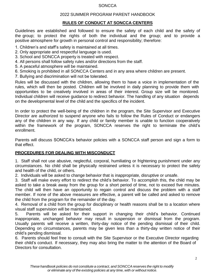#### 2022 SUMMER PROGRAM PARENT HANDBOOK

## **RULES OF CONDUCT AT SONCCA CENTERS**

Guidelines are established and followed to ensure the safety of each child and the safety of the group; to protect the rights of both the individual and the group; and to provide a positive atmosphere for growth in personal control and responsibility; therefore:

1. Children's and staff's safety is maintained at all times.

- 2. Only appropriate and respectful language is used.
- 3. School and SONCCA property is treated with respect.
- 4. All persons shall follow safety rules and/or directions from the staff.
- 5. A peaceful atmosphere will be maintained.
- 6. Smoking is prohibited in all SONCCA Centers and in any area where children are present.
- 7. Bullying and discrimination will not be tolerated.

Rules will be discussed with the children, allowing them to have a voice in implementation of the rules, which will then be posted. Children will be involved in daily planning to provide them with opportunities to be creatively involved in areas of their interest. Group size will be monitored. Individual children will receive guidance to redirect behavior. The handling of any situation depends on the developmental level of the child and the specifics of the incident.

In order to protect the well-being of the children in the program, the Site Supervisor and Executive Director are authorized to suspend anyone who fails to follow the Rules of Conduct or endangers any of the children in any way. If any child or family member is unable to function cooperatively within the framework of the program, SONCCA reserves the right to terminate the child's enrollment.

Parents will discuss SONCCA's behavior policies with a SONCCA staff person and sign a form to that effect.

# **PROCEDURES FOR DEALING WITH MISCONDUCT**

1. Staff shall not use abusive, neglectful, corporal, humiliating or frightening punishment under any circumstances. No child shall be physically restrained unless it is necessary to protect the safety and health of the child, or others.

2. Individuals will be asked to change behavior that is inappropriate, disruptive or unsafe.

3. Staff will make every effort to redirect the child's behavior. To accomplish this, the child may be asked to take a break away from the group for a short period of time, not to exceed five minutes. The child will then have an opportunity to regain control and discuss the problem with a staff member. If none of the above measures are effective, a parent will be called and asked to remove the child from the program for the remainder of the day.

4. Removal of a child from the group for disciplinary or health reasons shall be to a location where visual staff supervision will be maintained.

5. Parents will be asked for their support in changing their child's behavior. Continued inappropriate, unchanged behavior may result in suspension or dismissal from the program. Usually parents will receive a written, thirty-day notice of the pending dismissal of their child. Depending on circumstances, parents may be given less than a thirty-day written notice of their child's pending dismissal.

6. Parents should feel free to consult with the Site Supervisor or the Executive Director regarding their child's conduct. If necessary, they may also bring the matter to the attention of the Board of Directors for consultation.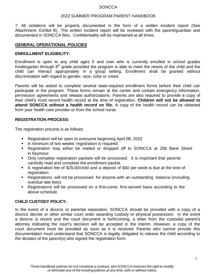#### 2022 SUMMER PROGRAM PARENT HANDBOOK

7. All violations will be properly documented in the form of a written incident report (See Attachment: Exhibit B). The written incident report will be reviewed with the parent/guardian and documented in SONCCA files. Confidentiality will be maintained at all times.

#### **GENERAL OPERATIONAL POLICIES**

#### **ENROLLMENT ELIGIBILITY:**

Enrollment is open to any child ages 5 and over who is currently enrolled in school grades Kindergarten through  $8<sup>th</sup>$  grade provided the program is able to meet the needs of the child and the child can interact appropriately in a group setting. Enrollment shall be granted without discrimination with regard to gender, race, color or creed.

Parents will be asked to complete several state-required enrollment forms before their child can participate in the program. These forms remain at the center and contain emergency information, permission agreements and release authorizations. Parents are also required to provide a copy of their child's most recent health record at the time of registration. **Children will not be allowed to attend SONCCA without a health record on file.** A copy of the health record can be obtained from your health care provider or from the school nurse.

#### **REGISTRATION PROCESS:**

The registration process is as follows:

- Registration will be open to everyone beginning April 06, 2022
- A minimum of two weeks' registration is required.
- Registration may either be mailed or dropped off to SONCCA at 256 Bank Street in Seymour.
- Only complete registration packets will be processed. It is important that parents carefully read and complete the enrollment packet.
- A registration fee of \$25.00/child and a deposit of \$50 per week is due at the time of registration.
- Registrations will not be processed for anyone with an outstanding balance (including overdue late fees).
- Registrations will be processed on a first-come, first-served basis according to the above schedule.

#### **CHILD CUSTODY POLICY:**

In the event of a divorce or parental separation, SONCCA should be provided with a copy of a divorce decree or other similar court order awarding custody or physical possession. In the event a divorce is recent and the court document is forthcoming, a letter from the custodial parent's attorney indicating the court's decision will be accepted in the interim. However, a copy of the court document must be provided as soon as it is received. Parents who cannot provide this documentation must understand that SONCCA is legally obligated to release the child according to the dictates of the parent(s) who signed the registration form.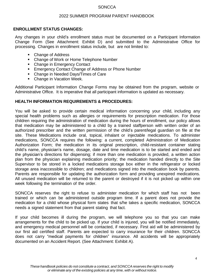#### 2022 SUMMER PROGRAM PARENT HANDBOOK

#### **ENROLLMENT STATUS CHANGES:**

Any changes in your child's enrollment status must be documented on a Participant Information Change Form (See Attachment: Exhibit D) and submitted to the Administrative Office for processing. Changes in enrollment status include, but are not limited to:

- Change of Address
- Change of Work or Home Telephone Number
- Change in Emergency Contact
- **Emergency Contact Change of Address or Phone Number**
- **Change in Needed Days/Times of Care**
- **Change in Vacation Week.**

Additional Participant Information Change Forms may be obtained from the program, website or Administrative Office. It is imperative that all participant information is updated as necessary.

#### **HEALTH INFORMATION REQUIREMENTS & PROCEDURES:**

You will be asked to provide certain medical information concerning your child, including any special health problems such as allergies or requirements for prescription medication. For those children requiring the administration of medication during the hours of enrollment, our policy allows that medication may be administered to a child by a trained staffperson with written order of an authorized prescriber and the written permission of the child's parent/legal guardian on file at the site. These Medications include oral, topical, inhalant or injectable medications. To administer medications, SONCCA requires the following: a current, completed Administration of Medication Authorization Form; the medication in its original prescription, child-resistant container stating child's name, physician's name, dosage, date and time medication is to be started and ended and the physician's directions for dispensing; if more than one medication is provided, a written action plan from the physician explaining medication priority; the medication handed directly to the Site Supervisor to be stored in a locked medications storage box either in the refrigerator or locked storage area inaccessible to children; and medications signed into the medication book by parents. Parents are responsible for updating the authorization form and providing unexpired medications. All unused medication will be returned to the parent or destroyed if it is not picked up within one week following the termination of the order.

SONCCA reserves the right to refuse to administer medication for which staff has not been trained or which can be administered outside program time. If a parent does not provide the medication for a child whose physical form states that s/he takes a specific medication, SONCCA needs a signed statement from that parent stating that fact.

If your child becomes ill during the program, we will telephone you so that you can make arrangements for the child to be picked up. If your child is injured, you will be notified immediately, and emergency medical personnel will be contacted, if necessary. First aid will be administered by our first aid certified staff. Parents are expected to carry insurance for their children. SONCCA does not carry "medical payments for children" insurance. All accidents will be appropriately documented on an Accident Report. (See Attachment: Exhibit A).

4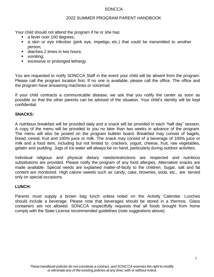#### 2022 SUMMER PROGRAM PARENT HANDBOOK

Your child should not attend the program if he or she has:

- a fever over 100 degrees;
- a skin or eye infection (pink eye, impetigo, etc.) that could be transmitted to another person;
- diarrhea 2 times in two hours;
- vomiting;
- **EXCESSIVE OF prolonged lethargy.**

You are requested to notify SONCCA Staff in the event your child will be absent from the program. Please call the program location first. If no one is available, please call the office. The office and the program have answering machines or voicemail.

If your child contracts a communicable disease, we ask that you notify the center as soon as possible so that the other parents can be advised of the situation. Your child's identity will be kept confidential.

# **SNACKS:**

A nutritious breakfast will be provided daily and a snack will be provided in each "half day" session. A copy of the menu will be provided to you no later than two weeks in advance of the program. The menu will also be posted on the program bulletin board. Breakfast may consist of bagels, bread, cereal, fruit and 100% juice or milk. The snack may consist of a beverage of 100% juice or milk and a food item, including but not limited to: crackers, yogurt, cheese, fruit, raw vegetables, gelatin and pudding. Jugs of ice water will always be on hand, particularly during outdoor activities.

Individual religious and physical dietary needs/restrictions are respected and nutritious substitutions are provided. Please notify the program of any food allergies. Alternative snacks are made available. Special needs are explained matter-of-factly to the children. Sugar, salt and fat content are monitored. High calorie sweets such as candy, cake, brownies, soda, etc., are served only on special occasions.

# **LUNCH:**

Parents must supply a brown bag lunch unless noted on the Activity Calendar. Lunches should include a beverage. Please note that beverages should be stored in a thermos. Glass containers are not allowed. SONCCA respectfully requests that all foods brought from home comply with the State License recommended guidelines (note suggestions above).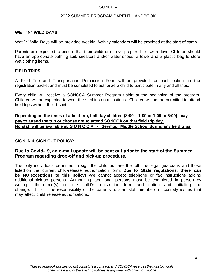#### 2022 SUMMER PROGRAM PARENT HANDBOOK

#### **WET "N" WILD DAYS:**

Wet "n" Wild Days will be provided weekly. Activity calendars will be provided at the start of camp.

Parents are expected to ensure that their child(ren) arrive prepared for swim days. Children should have an appropriate bathing suit, sneakers and/or water shoes, a towel and a plastic bag to store wet clothing items.

#### **FIELD TRIPS:**

A Field Trip and Transportation Permission Form will be provided for each outing. in the registration packet and must be completed to authorize a child to participate in any and all trips.

Every child will receive a SONCCA Summer Program t-shirt at the beginning of the program. Children will be expected to wear their t-shirts on all outings. Children will not be permitted to attend field trips without their t-shirt.

**Depending on the times of a field trip, half day children (8:00 – 1:00 or 1:00 to 6:00) may pay to attend the trip or choose not to attend SONCCA on that field trip day. No staff will be available at S O N C C A - Seymour Middle School during any field trips.**

#### **SIGN IN & SIGN OUT POLICY:**

# **Due to Covid-19, an e-mail update will be sent out prior to the start of the Summer Program regarding drop-off and pick-up procedure.**

The only individuals permitted to sign the child out are the full-time legal guardians and those listed on the current child-release authorization form. **Due to State regulations, there can be NO exceptions to this policy!** We cannot accept telephone or fax instructions adding additional pick-up persons. Authorizing additional persons must be completed in person by writing the name(s) on the child's registration form and dating and initialing the change. It is the responsibility of the parents to alert staff members of custody issues that may affect child release authorizations.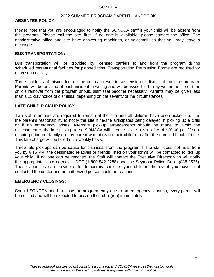## 2022 SUMMER PROGRAM PARENT HANDBOOK

#### **ABSENTEE POLICY:**

Please note that you are encouraged to notify the SONCCA staff if your child will be absent from the program. Please call the site first. If no one is available, please contact the office. The administrative office and site have answering machines, or voicemail, so that you may leave a message.

#### **BUS TRANSPORTATION:**

Bus transportation will be provided by licensed carriers to and from the program during scheduled recreational facilities for planned trips. Transportation Permission Forms are required for each such activity.

Three incidents of misconduct on the bus can result in suspension or dismissal from the program. Parents will be advised of each incident in writing and will be issued a 15-day written notice of their child's removal from the program should dismissal become necessary. Parents may be given less than a 15-day notice of dismissal depending on the severity of the circumstances.

#### **LATE CHILD PICK-UP POLICY:**

Two staff members are required to remain at the site until all children have been picked up. It is the parent's responsibility to notify the site if he/she anticipates being delayed in picking up a child or if an emergency arises. Alternate pick-up arrangements should be made to avoid the assessment of the late pick-up fees. SONCCA will impose a late pick-up fee of \$20.00 per fifteenminute period per family on any parent who picks up their child(ren) after the enrolled block of time. This late charge will be billed on a weekly basis.

Three late pick-ups can be cause for dismissal from the program. If the staff does not hear from you by 6:15 PM, the designated relatives or friends listed on your forms will be contacted to pick up your child. If no one can be reached, the Staff will contact the Executive Director who will notify the appropriate state agency – DCF (1-800-842-2288) and the Seymour Police Dept. (888-2525). These agencies can provide safe, temporary care for your child in the event you have not contacted the center and no authorized person could be reached.

#### **EMERGENCY CLOSINGS:**

Should SONCCA need to close the program early due to an emergency situation, every parent will be notified and will be expected to pick up their child(ren) immediately.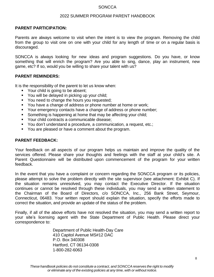# 2022 SUMMER PROGRAM PARENT HANDBOOK

#### **PARENT PARTICIPATION:**

Parents are always welcome to visit when the intent is to view the program. Removing the child from the group to visit one on one with your child for any length of time or on a regular basis is discouraged.

SONCCA is always looking for new ideas and program suggestions. Do you have, or know something that will enrich the program? Are you able to sing, dance, play an instrument, new game, etc? If so, would you be willing to share your talent with us?

#### **PARENT REMINDERS:**

It is the responsibility of the parent to let us know when:

- Your child is going to be absent;
- You will be delayed in picking up your child;
- You need to change the hours you requested;
- You have a change of address or phone number at home or work;
- Your emergency contacts have a change of address or phone number;
- Something is happening at home that may be affecting your child;
- **Your child contracts a communicable disease;**
- You don't understand a procedure, a communication, a request, etc.;
- You are pleased or have a comment about the program.

#### **PARENT FEEDBACK:**

Your feedback on all aspects of our program helps us maintain and improve the quality of the services offered. Please share your thoughts and feelings with the staff at your child's site. A Parent Questionnaire will be distributed upon commencement of the program for your written feedback.

In the event that you have a complaint or concern regarding the SONCCA program or its policies, please attempt to solve the problem directly with the site supervisor (see attachment: Exhibit C). If the situation remains unresolved, you may contact the Executive Director. If the situation continues or cannot be resolved through these individuals, you may send a written statement to the Chairman of the Board of Directors, c/o SONCCA, Inc., 256 Bank Street, Seymour, Connecticut, 06483. Your written report should explain the situation, specify the efforts made to correct the situation, and provide an update of the status of the problem.

Finally, if all of the above efforts have not resolved the situation, you may send a written report to your site's licensing agent with the State Department of Public Health. Please direct your correspondence to:

> Department of Public Health-Day Care 410 Capitol Avenue MS#12 DAC P.O. Box 340308 Hartford, CT 06134-0308 1-800-282-6063

8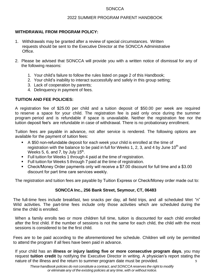## 2022 SUMMER PROGRAM PARENT HANDBOOK

# **WITHDRAWAL FROM PROGRAM POLICY:**

- 1. Withdrawals may be granted after a review of special circumstances. Written requests should be sent to the Executive Director at the SONCCA Administrative Office.
- 2. Please be advised that SONCCA will provide you with a written notice of dismissal for any of the following reasons:
	- 1. Your child's failure to follow the rules listed on page 2 of this Handbook;
	- 2. Your child's inability to interact successfully and safely in this group setting;
	- 3. Lack of cooperation by parents;
	- 4. Delinquency in payment of fees.

# **TUITION AND FEE POLICIES:**

A registration fee of \$25.00 per child and a tuition deposit of \$50.00 per week are required to reserve a space for your child. The registration fee is paid only once during the summer program period and is refundable if space is unavailable. Neither the registration fee nor the tuition deposit fee's are refundable in case of withdrawal. There is no probationary enrollment.

Tuition fees are payable in advance, not after service is rendered. The following options are available for the payment of tuition fees:

- A \$50 non-refundable deposit for each week your child is enrolled at the time of registration with the balance to be paid in full for Weeks 1, 2, 3, and 4 by June 10<sup>th</sup> and Weeks 5, 6, and 7, by July 15<sup>th</sup>.
- **Full tuition for Weeks 1 through 4 paid at the time of registration.**
- **Full tuition for Weeks 5 through 7 paid at the time of registration.**
- Check/Money Order payments only will receive a \$7.00 discount for full time and a \$3.00 discount for part time care services weekly.

The registration and tuition fees are payable by Tuition Express or Check/Money order made out to:

# **SONCCA Inc., 256 Bank Street, Seymour, CT, 06483**

The full-time fees include breakfast, two snacks per day, all field trips, and all scheduled Wet "n" Wild activities. The part-time fees include only those activities which are scheduled during the time the child is enrolled.

When a family enrolls two or more children full time, tuition is discounted for each child enrolled after the first child. If the number of sessions is not the same for each child, the child with the most sessions is considered to be the first child.

Fees are to be paid according to the aforementioned fee schedule. Children will only be permitted to attend the program if all fees have been paid in advance.

If your child has an **illness or injury lasting five or more consecutive program days**, you may request **tuition credit** by notifying the Executive Director in writing. A physician's report stating the nature of the illness and the return to summer program date must be provided.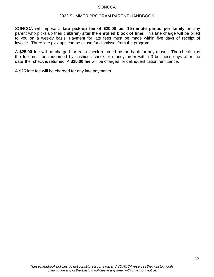#### 2022 SUMMER PROGRAM PARENT HANDBOOK

SONCCA will impose a **late pick-up fee of \$20.00 per 15-minute period per family** on any parent who picks up their child(ren) after the **enrolled block of time**. This late charge will be billed to you on a weekly basis. Payment for late fees must be made within five days of receipt of invoice. Three late pick-ups can be cause for dismissal from the program.

A **\$25.00 fee** will be charged for each check returned by the bank for any reason. The check plus the fee must be redeemed by cashier's check or money order within 3 business days after the date the check is returned. A **\$25.00 fee** will be charged for delinquent tuition remittance.

A \$25 late fee will be charged for any late payments.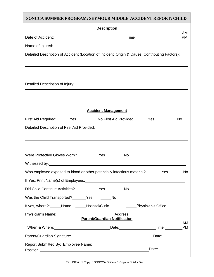| SONCCA SUMMER PROGRAM: SEYMOUR MIDDLE ACCIDENT REPORT: CHILD                                                                                                                                                                   |  |  |  |  |
|--------------------------------------------------------------------------------------------------------------------------------------------------------------------------------------------------------------------------------|--|--|--|--|
| <b>Description</b>                                                                                                                                                                                                             |  |  |  |  |
| AM.<br><b>PM</b><br>Date of Accident: <u>contract and a series of Accident:</u> Contract and Time: Contract and Time:                                                                                                          |  |  |  |  |
| Name of Injured: Name of Injured:                                                                                                                                                                                              |  |  |  |  |
| Detailed Description of Accident (Location of Incident, Origin & Cause, Contributing Factors):                                                                                                                                 |  |  |  |  |
|                                                                                                                                                                                                                                |  |  |  |  |
|                                                                                                                                                                                                                                |  |  |  |  |
| Detailed Description of Injury:                                                                                                                                                                                                |  |  |  |  |
|                                                                                                                                                                                                                                |  |  |  |  |
|                                                                                                                                                                                                                                |  |  |  |  |
| <b>Accident Management</b>                                                                                                                                                                                                     |  |  |  |  |
| First Aid Required: _______Yes _________ No First Aid Provided: _______Yes<br><b>No</b>                                                                                                                                        |  |  |  |  |
| Detailed Description of First Aid Provided:                                                                                                                                                                                    |  |  |  |  |
| <u> 1989 - Johann Stoff, amerikansk politiker (* 1908)</u>                                                                                                                                                                     |  |  |  |  |
| Were Protective Gloves Worn? The Mess Ness<br><b>No</b>                                                                                                                                                                        |  |  |  |  |
|                                                                                                                                                                                                                                |  |  |  |  |
| Was employee exposed to blood or other potentially infectious material? _______Yes _____No                                                                                                                                     |  |  |  |  |
|                                                                                                                                                                                                                                |  |  |  |  |
|                                                                                                                                                                                                                                |  |  |  |  |
| Was the Child Transported? _______Yes ________No                                                                                                                                                                               |  |  |  |  |
| If yes, where?: _____Home ______Hospital/Clinic _______________Physician's Office                                                                                                                                              |  |  |  |  |
|                                                                                                                                                                                                                                |  |  |  |  |
| AM                                                                                                                                                                                                                             |  |  |  |  |
| When & Where: Note: Note: Note: Note: Note: Note: Note: Note: Note: Note: Note: Note: Note: Note: Note: Note: Note: Note: Note: Note: Note: Note: Note: Note: Note: Note: Note: Note: Note: Note: Note: Note: Note: Note: Note |  |  |  |  |
|                                                                                                                                                                                                                                |  |  |  |  |
|                                                                                                                                                                                                                                |  |  |  |  |

Г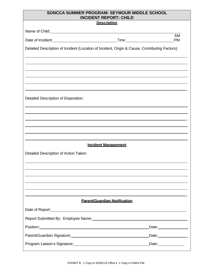# **SONCCA SUMMER PROGRAM: SEYMOUR MIDDLE SCHOOL INCIDENT REPORT: CHILD**

| <b>Description</b>                                                                                                                                                                                                            |                                     |                              |  |
|-------------------------------------------------------------------------------------------------------------------------------------------------------------------------------------------------------------------------------|-------------------------------------|------------------------------|--|
| Name of Child: Name of Child:                                                                                                                                                                                                 |                                     |                              |  |
| Date of Incident:<br><u>Date of Incident:</u>                                                                                                                                                                                 | Time: Time:                         | AM<br><b>PM</b>              |  |
| Detailed Description of Incident (Location of Incident, Origin & Cause, Contributing Factors):                                                                                                                                |                                     |                              |  |
|                                                                                                                                                                                                                               |                                     |                              |  |
|                                                                                                                                                                                                                               |                                     |                              |  |
|                                                                                                                                                                                                                               |                                     |                              |  |
|                                                                                                                                                                                                                               |                                     |                              |  |
|                                                                                                                                                                                                                               |                                     |                              |  |
| Detailed Description of Disposition:                                                                                                                                                                                          |                                     |                              |  |
|                                                                                                                                                                                                                               |                                     |                              |  |
|                                                                                                                                                                                                                               |                                     |                              |  |
|                                                                                                                                                                                                                               |                                     |                              |  |
|                                                                                                                                                                                                                               |                                     |                              |  |
|                                                                                                                                                                                                                               | <b>Incident Management</b>          |                              |  |
| Detailed Description of Action Taken:                                                                                                                                                                                         |                                     |                              |  |
|                                                                                                                                                                                                                               |                                     |                              |  |
|                                                                                                                                                                                                                               |                                     |                              |  |
|                                                                                                                                                                                                                               |                                     |                              |  |
|                                                                                                                                                                                                                               |                                     |                              |  |
|                                                                                                                                                                                                                               |                                     |                              |  |
|                                                                                                                                                                                                                               | <b>Parent/Guardian Notification</b> |                              |  |
|                                                                                                                                                                                                                               |                                     |                              |  |
|                                                                                                                                                                                                                               |                                     |                              |  |
|                                                                                                                                                                                                                               |                                     | Date: <u>Date:</u>           |  |
| Parent/Guardian Signature: 2008 2009 2010 2020 2021 2022 2023 2024 2022 2023 2024 2022 2023 2024 2022 2023 20                                                                                                                 |                                     | Date: $\qquad \qquad \qquad$ |  |
| Program Liaison's Signature: Manual According to the Contract of the Contract of the Contract of the Contract of the Contract of the Contract of the Contract of the Contract of the Contract of the Contract of the Contract |                                     | Date:_____________           |  |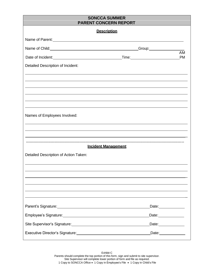# **SONCCA SUMMER PARENT CONCERN REPORT**

| <b>Description</b>                                                                                                                                                                                                                   |                                           |                               |  |
|--------------------------------------------------------------------------------------------------------------------------------------------------------------------------------------------------------------------------------------|-------------------------------------------|-------------------------------|--|
|                                                                                                                                                                                                                                      |                                           |                               |  |
| Name of Child: <u>contract and contract and contract and contract and contract and contract and contract and contract of the set of the set of the set of the set of the set of the set of the set of the set of the set of the </u> | _Group:_______________<br>$\overline{AM}$ |                               |  |
| Date of Incident: Time: Time: Time:                                                                                                                                                                                                  |                                           | <b>PM</b>                     |  |
| Detailed Description of Incident:                                                                                                                                                                                                    |                                           |                               |  |
|                                                                                                                                                                                                                                      |                                           |                               |  |
|                                                                                                                                                                                                                                      |                                           |                               |  |
|                                                                                                                                                                                                                                      |                                           |                               |  |
|                                                                                                                                                                                                                                      |                                           |                               |  |
| Names of Employees Involved:                                                                                                                                                                                                         |                                           |                               |  |
|                                                                                                                                                                                                                                      |                                           |                               |  |
|                                                                                                                                                                                                                                      |                                           |                               |  |
|                                                                                                                                                                                                                                      |                                           |                               |  |
| <b>Incident Management</b>                                                                                                                                                                                                           |                                           |                               |  |
| Detailed Description of Action Taken:                                                                                                                                                                                                |                                           |                               |  |
|                                                                                                                                                                                                                                      |                                           |                               |  |
|                                                                                                                                                                                                                                      |                                           |                               |  |
|                                                                                                                                                                                                                                      |                                           |                               |  |
|                                                                                                                                                                                                                                      |                                           |                               |  |
|                                                                                                                                                                                                                                      |                                           |                               |  |
| Parent's Signature: Management Control of Control of Control of Control of Control of Control of Control of Co                                                                                                                       |                                           | Date: <u>_______________</u>  |  |
|                                                                                                                                                                                                                                      |                                           | Date: <u>________________</u> |  |
| Site Supervisor's Signature:<br>Site Supervisor's Signature:                                                                                                                                                                         |                                           | Date: Date:                   |  |
|                                                                                                                                                                                                                                      |                                           | Date: ______________          |  |

Exhibit C Parents should complete the top portion of this form, sign and submit to site supervisor. Site Supervisor will complete lower portion of form and file as required. 1 Copy to SONCCA Office • 1 Copy in Employee's File • 1 Copy in Child's File